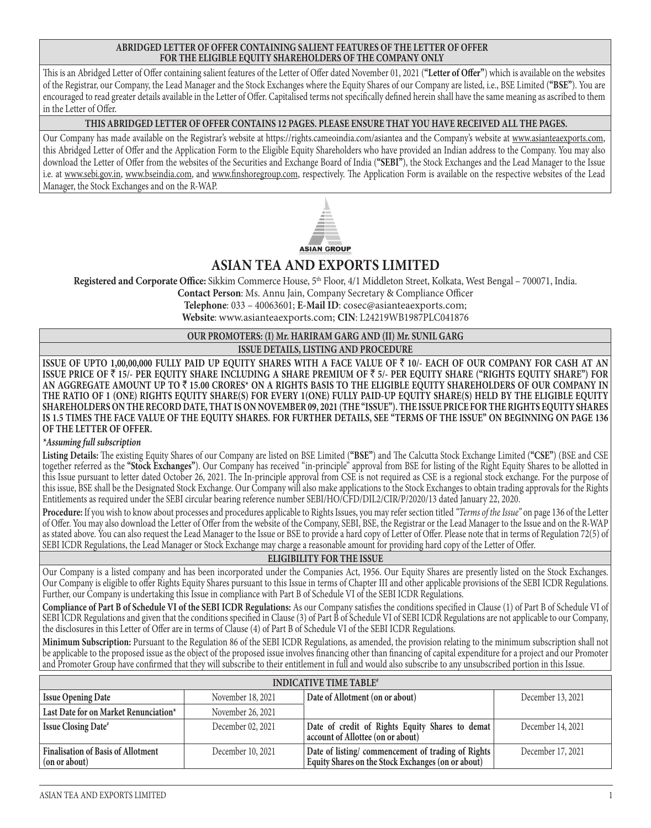#### **ABRIDGED LETTER OF OFFER CONTAINING SALIENT FEATURES OF THE LETTER OF OFFER FOR THE ELIGIBLE EQUITY SHAREHOLDERS OF THE COMPANY ONLY**

This is an Abridged Letter of Offer containing salient features of the Letter of Offer dated November 01, 2021 (**"Letter of Offer"**) which is available on the websites of the Registrar, our Company, the Lead Manager and the Stock Exchanges where the Equity Shares of our Company are listed, i.e., BSE Limited (**"BSE"**). You are encouraged to read greater details available in the Letter of Offer. Capitalised terms not specifically defined herein shall have the same meaning as ascribed to them in the Letter of Offer.

#### **THIS ABRIDGED LETTER OF OFFER CONTAINS 12 PAGES. PLEASE ENSURE THAT YOU HAVE RECEIVED ALL THE PAGES.**

Our Company has made available on the Registrar's website at https://rights.cameoindia.com/asiantea and the Company's website at www.asianteaexports.com, this Abridged Letter of Offer and the Application Form to the Eligible Equity Shareholders who have provided an Indian address to the Company. You may also download the Letter of Offer from the websites of the Securities and Exchange Board of India (**"SEBI"**), the Stock Exchanges and the Lead Manager to the Issue i.e. at www.sebi.gov.in, www.bseindia.com, and www.finshoregroup.com, respectively. The Application Form is available on the respective websites of the Lead Manager, the Stock Exchanges and on the R-WAP.



**ASIAN GROUP** 

# **ASIAN TEA AND EXPORTS LIMITED**

**Registered and Corporate Office:** Sikkim Commerce House, 5th Floor, 4/1 Middleton Street, Kolkata, West Bengal – 700071, India.

**Contact Person**: Ms. Annu Jain, Company Secretary & Compliance Officer

**Telephone**: 033 – 40063601; **E-Mail ID**: cosec@asianteaexports.com; **Website**: www.asianteaexports.com; **CIN**: L24219WB1987PLC041876

#### **OUR PROMOTERS: (I) Mr. HARIRAM GARG AND (II) Mr. SUNIL GARG**

**ISSUE DETAILS, LISTING AND PROCEDURE**

**ISSUE OF UPTO 1,00,00,000 FULLY PAID UP EQUITY SHARES WITH A FACE VALUE OF** ` **10/- EACH OF OUR COMPANY FOR CASH AT AN ISSUE PRICE OF** ` **15/- PER EQUITY SHARE INCLUDING A SHARE PREMIUM OF** ` **5/- PER EQUITY SHARE ("RIGHTS EQUITY SHARE") FOR AN AGGREGATE AMOUNT UP TO** ` **15.00 CRORES\* ON A RIGHTS BASIS TO THE ELIGIBLE EQUITY SHAREHOLDERS OF OUR COMPANY IN THE RATIO OF 1 (ONE) RIGHTS EQUITY SHARE(S) FOR EVERY 1(ONE) FULLY PAID-UP EQUITY SHARE(S) HELD BY THE ELIGIBLE EQUITY SHAREHOLDERS ON THE RECORD DATE, THAT IS ON NOVEMBER 09, 2021 (THE "ISSUE"). THE ISSUE PRICE FOR THE RIGHTS EQUITY SHARES IS 1.5 TIMES THE FACE VALUE OF THE EQUITY SHARES. FOR FURTHER DETAILS, SEE "TERMS OF THE ISSUE" ON BEGINNING ON PAGE 136 OF THE LETTER OF OFFER.**

#### *\*Assuming full subscription*

**Listing Details:** The existing Equity Shares of our Company are listed on BSE Limited (**"BSE"**) and The Calcutta Stock Exchange Limited (**"CSE"**) (BSE and CSE together referred as the **"Stock Exchanges"**). Our Company has received "in-principle" approval from BSE for listing of the Right Equity Shares to be allotted in this Issue pursuant to letter dated October 26, 2021. The In-principle approval from CSE is not required as CSE is a regional stock exchange. For the purpose of this issue, BSE shall be the Designated Stock Exchange. Our Company will also make applications to the Stock Exchanges to obtain trading approvals for the Rights Entitlements as required under the SEBI circular bearing reference number SEBI/HO/CFD/DIL2/CIR/P/2020/13 dated January 22, 2020.

**Procedure:** If you wish to know about processes and procedures applicable to Rights Issues, you may refer section titled *"Terms of the Issue"* on page 136 of the Letter of Offer. You may also download the Letter of Offer from the website of the Company, SEBI, BSE, the Registrar or the Lead Manager to the Issue and on the R-WAP as stated above. You can also request the Lead Manager to the Issue or BSE to provide a hard copy of Letter of Offer. Please note that in terms of Regulation 72(5) of SEBI ICDR Regulations, the Lead Manager or Stock Exchange may charge a reasonable amount for providing hard copy of the Letter of Offer.

#### **ELIGIBILITY FOR THE ISSUE**

Our Company is a listed company and has been incorporated under the Companies Act, 1956. Our Equity Shares are presently listed on the Stock Exchanges. Our Company is eligible to offer Rights Equity Shares pursuant to this Issue in terms of Chapter III and other applicable provisions of the SEBI ICDR Regulations. Further, our Company is undertaking this Issue in compliance with Part B of Schedule VI of the SEBI ICDR Regulations.

**Compliance of Part B of Schedule VI of the SEBI ICDR Regulations:** As our Company satisfies the conditions specified in Clause (1) of Part B of Schedule VI of SEBI ICDR Regulations and given that the conditions specified in Clause (3) of Part B of Schedule VI of SEBI ICDR Regulations are not applicable to our Company, the disclosures in this Letter of Offer are in terms of Clause (4) of Part B of Schedule VI of the SEBI ICDR Regulations.

**Minimum Subscription:** Pursuant to the Regulation 86 of the SEBI ICDR Regulations, as amended, the provision relating to the minimum subscription shall not be applicable to the proposed issue as the object of the proposed issue involves financing other than financing of capital expenditure for a project and our Promoter and Promoter Group have confirmed that they will subscribe to their entitlement in full and would also subscribe to any unsubscribed portion in this Issue.

| <b>INDICATIVE TIME TABLE*</b>                              |                   |                                                                                                         |                   |  |
|------------------------------------------------------------|-------------------|---------------------------------------------------------------------------------------------------------|-------------------|--|
| <b>Issue Opening Date</b>                                  | November 18, 2021 | Date of Allotment (on or about)                                                                         | December 13, 2021 |  |
| Last Date for on Market Renunciation*                      | November 26, 2021 |                                                                                                         |                   |  |
| Issue Closing Date*                                        | December 02, 2021 | Date of credit of Rights Equity Shares to demat<br>account of Allottee (on or about)                    | December 14, 2021 |  |
| <b>Finalisation of Basis of Allotment</b><br>(on or about) | December 10, 2021 | Date of listing/commencement of trading of Rights<br>Equity Shares on the Stock Exchanges (on or about) | December 17, 2021 |  |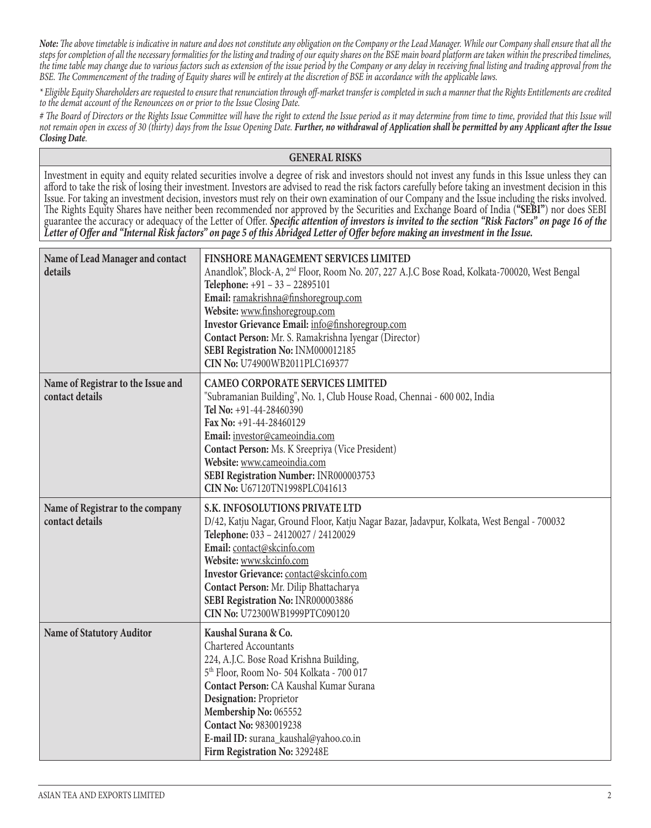*Note: The above timetable is indicative in nature and does not constitute any obligation on the Company or the Lead Manager. While our Company shall ensure that all the steps for completion of all the necessary formalities for the listing and trading of our equity shares on the BSE main board platform are taken within the prescribed timelines, the time table may change due to various factors such as extension of the issue period by the Company or any delay in receiving final listing and trading approval from the BSE. The Commencement of the trading of Equity shares will be entirely at the discretion of BSE in accordance with the applicable laws.*

*\* Eligible Equity Shareholders are requested to ensure that renunciation through off-market transfer is completed in such a manner that the Rights Entitlements are credited to the demat account of the Renouncees on or prior to the Issue Closing Date.*

*# The Board of Directors or the Rights Issue Committee will have the right to extend the Issue period as it may determine from time to time, provided that this Issue will*  not remain open in excess of 30 (thirty) days from the Issue Opening Date. Further, no withdrawal of Application shall be permitted by any Applicant after the Issue *Closing Date.*

#### **GENERAL RISKS**

Investment in equity and equity related securities involve a degree of risk and investors should not invest any funds in this Issue unless they can afford to take the risk of losing their investment. Investors are advised to read the risk factors carefully before taking an investment decision in this Issue. For taking an investment decision, investors must rely on their own examination of our Company and the Issue including the risks involved. The Rights Equity Shares have neither been recommended nor approved by the Securities and Exchange Board of India (**"SEBI"**) nor does SEBI guarantee the accuracy or adequacy ot the Letter ot Offer. Specific attention of investors is invited to the section "Risk Factors" on page 16 of the<br>Letter of Offer and "Internal Risk factors" on page 5 of this Abridged L

| Name of Lead Manager and contact<br>details           | FINSHORE MANAGEMENT SERVICES LIMITED<br>Anandlok", Block-A, 2 <sup>nd</sup> Floor, Room No. 207, 227 A.J.C Bose Road, Kolkata-700020, West Bengal<br>Telephone: +91 - 33 - 22895101<br>Email: ramakrishna@finshoregroup.com<br>Website: www.finshoregroup.com<br>Investor Grievance Email: info@finshoregroup.com<br>Contact Person: Mr. S. Ramakrishna Iyengar (Director)<br>SEBI Registration No: INM000012185<br>CIN No: U74900WB2011PLC169377 |  |
|-------------------------------------------------------|---------------------------------------------------------------------------------------------------------------------------------------------------------------------------------------------------------------------------------------------------------------------------------------------------------------------------------------------------------------------------------------------------------------------------------------------------|--|
| Name of Registrar to the Issue and<br>contact details | <b>CAMEO CORPORATE SERVICES LIMITED</b><br>"Subramanian Building", No. 1, Club House Road, Chennai - 600 002, India<br>Tel No: +91-44-28460390<br>Fax No: +91-44-28460129<br>Email: investor@cameoindia.com<br>Contact Person: Ms. K Sreepriya (Vice President)<br>Website: www.cameoindia.com<br>SEBI Registration Number: INR000003753<br>CIN No: U67120TN1998PLC041613                                                                         |  |
| Name of Registrar to the company<br>contact details   | S.K. INFOSOLUTIONS PRIVATE LTD<br>D/42, Katju Nagar, Ground Floor, Katju Nagar Bazar, Jadavpur, Kolkata, West Bengal - 700032<br>Telephone: 033 - 24120027 / 24120029<br>Email: contact@skcinfo.com<br>Website: www.skcinfo.com<br>Investor Grievance: contact@skcinfo.com<br>Contact Person: Mr. Dilip Bhattacharya<br>SEBI Registration No: INR000003886<br>CIN No: U72300WB1999PTC090120                                                       |  |
| <b>Name of Statutory Auditor</b>                      | Kaushal Surana & Co.<br><b>Chartered Accountants</b><br>224, A.J.C. Bose Road Krishna Building,<br>5 <sup>th</sup> Floor, Room No- 504 Kolkata - 700 017<br>Contact Person: CA Kaushal Kumar Surana<br>Designation: Proprietor<br>Membership No: 065552<br>Contact No: 9830019238<br>E-mail ID: surana_kaushal@yahoo.co.in<br>Firm Registration No: 329248E                                                                                       |  |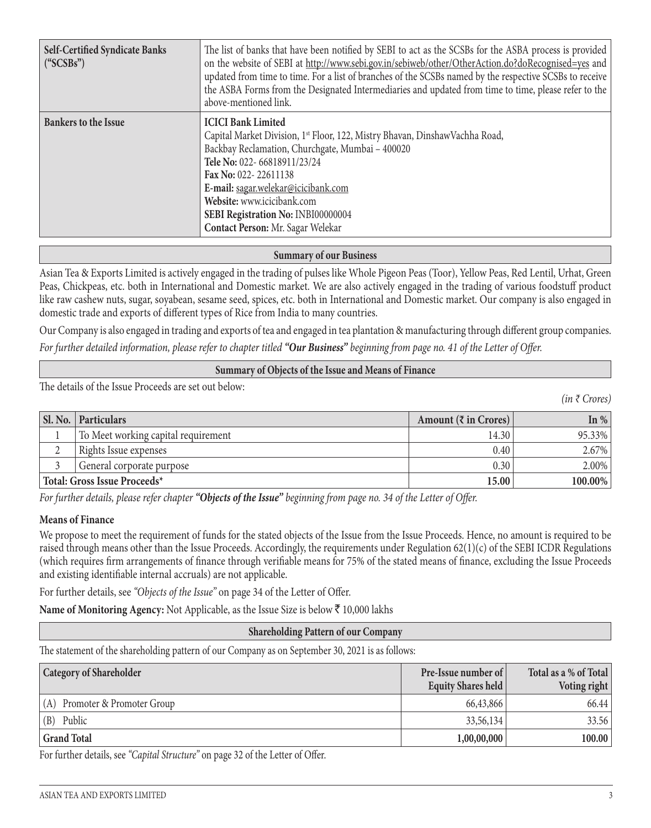| <b>Self-Certified Syndicate Banks</b><br>("SCSBs") | The list of banks that have been notified by SEBI to act as the SCSBs for the ASBA process is provided<br>on the website of SEBI at http://www.sebi.gov.in/sebiweb/other/OtherAction.do?doRecognised=yes and<br>updated from time to time. For a list of branches of the SCSBs named by the respective SCSBs to receive<br>the ASBA Forms from the Designated Intermediaries and updated from time to time, please refer to the<br>above-mentioned link. |
|----------------------------------------------------|----------------------------------------------------------------------------------------------------------------------------------------------------------------------------------------------------------------------------------------------------------------------------------------------------------------------------------------------------------------------------------------------------------------------------------------------------------|
| <b>Bankers to the Issue</b>                        | <b>ICICI Bank Limited</b><br>Capital Market Division, 1st Floor, 122, Mistry Bhavan, DinshawVachha Road,<br>Backbay Reclamation, Churchgate, Mumbai - 400020<br>Tele No: 022-66818911/23/24<br>Fax No: 022-22611138<br>E-mail: sagar.welekar@icicibank.com<br>Website: www.icicibank.com<br>SEBI Registration No: INBI00000004<br>Contact Person: Mr. Sagar Welekar                                                                                      |

#### **Summary of our Business**

Asian Tea & Exports Limited is actively engaged in the trading of pulses like Whole Pigeon Peas (Toor), Yellow Peas, Red Lentil, Urhat, Green Peas, Chickpeas, etc. both in International and Domestic market. We are also actively engaged in the trading of various foodstuff product like raw cashew nuts, sugar, soyabean, sesame seed, spices, etc. both in International and Domestic market. Our company is also engaged in domestic trade and exports of different types of Rice from India to many countries.

Our Company is also engaged in trading and exports of tea and engaged in tea plantation & manufacturing through different group companies. *For further detailed information, please refer to chapter titled "Our Business" beginning from page no. 41 of the Letter of Offer.*

#### **Summary of Objects of the Issue and Means of Finance**

The details of the Issue Proceeds are set out below:

*(in ₹ Crores)*

| Sl. No.                      | <b>Particulars</b>                  | Amount $(\bar{z}$ in Crores) | In $\%$    |
|------------------------------|-------------------------------------|------------------------------|------------|
|                              | To Meet working capital requirement | 14.30                        | 95.33%     |
| ∼                            | Rights Issue expenses               | 0.40                         | $2.67\%$   |
|                              | General corporate purpose           | 0.30                         | $2.00\%$   |
| Total: Gross Issue Proceeds* |                                     | 15.00                        | $100.00\%$ |

*For further details, please refer chapter "Objects of the Issue" beginning from page no. 34 of the Letter of Offer.*

#### **Means of Finance**

We propose to meet the requirement of funds for the stated objects of the Issue from the Issue Proceeds. Hence, no amount is required to be raised through means other than the Issue Proceeds. Accordingly, the requirements under Regulation 62(1)(c) of the SEBI ICDR Regulations (which requires firm arrangements of finance through verifiable means for 75% of the stated means of finance, excluding the Issue Proceeds and existing identifiable internal accruals) are not applicable.

For further details, see *"Objects of the Issue"* on page 34 of the Letter of Offer.

**Name of Monitoring Agency:** Not Applicable, as the Issue Size is below  $\bar{\tau}$  10,000 lakhs

#### **Shareholding Pattern of our Company**

The statement of the shareholding pattern of our Company as on September 30, 2021 is as follows:

| <b>Category of Shareholder</b>  | <b>Pre-Issue number of</b><br>Equity Shares held | Total as a % of Total<br>Voting right |
|---------------------------------|--------------------------------------------------|---------------------------------------|
| $(A)$ Promoter & Promoter Group | 66,43,866                                        | 66.44                                 |
| $(B)$ Public                    | 33,56,134                                        | 33.56                                 |
| <b>Grand Total</b>              | 1,00,00,000                                      | 100.00                                |

For further details, see *"Capital Structure"* on page 32 of the Letter of Offer.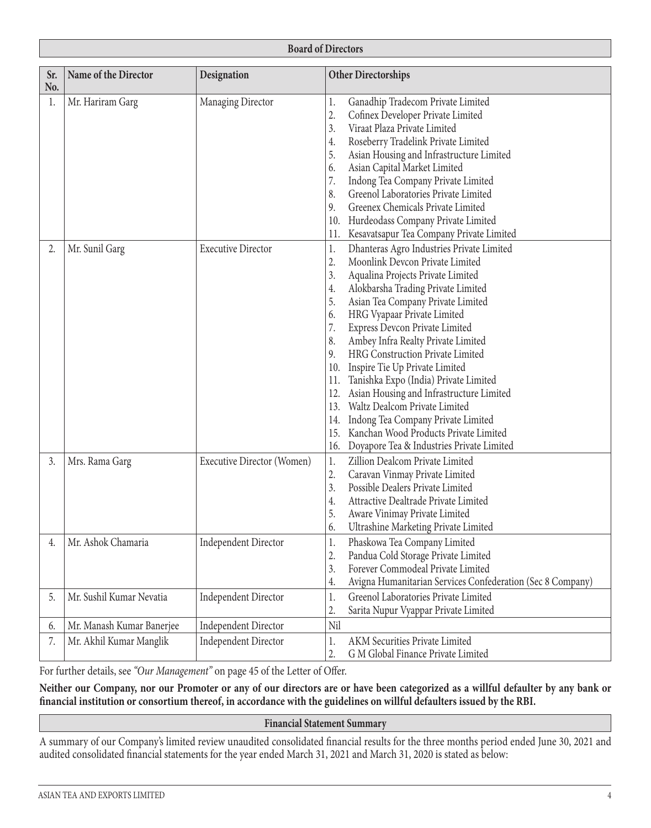| Sr.<br>No. | Name of the Director      | Designation                 | <b>Other Directorships</b>                                       |  |  |
|------------|---------------------------|-----------------------------|------------------------------------------------------------------|--|--|
| 1.         | Mr. Hariram Garg          | Managing Director           | Ganadhip Tradecom Private Limited<br>1.                          |  |  |
|            |                           |                             | 2.<br>Cofinex Developer Private Limited                          |  |  |
|            |                           |                             | 3.<br>Viraat Plaza Private Limited                               |  |  |
|            |                           |                             | Roseberry Tradelink Private Limited<br>4.                        |  |  |
|            |                           |                             | 5.<br>Asian Housing and Infrastructure Limited                   |  |  |
|            |                           |                             | Asian Capital Market Limited<br>6.                               |  |  |
|            |                           |                             | 7.<br>Indong Tea Company Private Limited                         |  |  |
|            |                           |                             | Greenol Laboratories Private Limited<br>8.                       |  |  |
|            |                           |                             | Greenex Chemicals Private Limited<br>9.                          |  |  |
|            |                           |                             | Hurdeodass Company Private Limited<br>10.                        |  |  |
|            |                           |                             | Kesavatsapur Tea Company Private Limited<br>11.                  |  |  |
| 2.         | Mr. Sunil Garg            | <b>Executive Director</b>   | Dhanteras Agro Industries Private Limited<br>1.                  |  |  |
|            |                           |                             | Moonlink Devcon Private Limited<br>2.                            |  |  |
|            |                           |                             | 3.<br>Aqualina Projects Private Limited                          |  |  |
|            |                           |                             | Alokbarsha Trading Private Limited<br>4.                         |  |  |
|            |                           |                             | 5.<br>Asian Tea Company Private Limited                          |  |  |
|            |                           |                             | HRG Vyapaar Private Limited<br>6.                                |  |  |
|            |                           |                             | 7.<br>Express Devcon Private Limited                             |  |  |
|            |                           |                             | 8.<br>Ambey Infra Realty Private Limited                         |  |  |
|            |                           |                             | HRG Construction Private Limited<br>9.                           |  |  |
|            |                           |                             | 10.<br>Inspire Tie Up Private Limited                            |  |  |
|            |                           |                             | Tanishka Expo (India) Private Limited<br>11.                     |  |  |
|            |                           |                             | Asian Housing and Infrastructure Limited<br>12.                  |  |  |
|            |                           |                             | Waltz Dealcom Private Limited<br>13.                             |  |  |
|            |                           |                             | Indong Tea Company Private Limited<br>14.                        |  |  |
|            |                           |                             | Kanchan Wood Products Private Limited<br>15.                     |  |  |
|            |                           |                             | 16.<br>Doyapore Tea & Industries Private Limited                 |  |  |
| 3.         | Mrs. Rama Garg            | Executive Director (Women)  | Zillion Dealcom Private Limited<br>1.                            |  |  |
|            |                           |                             | 2.<br>Caravan Vinmay Private Limited                             |  |  |
|            |                           |                             | Possible Dealers Private Limited<br>3.                           |  |  |
|            |                           |                             | Attractive Dealtrade Private Limited<br>4.                       |  |  |
|            |                           |                             | 5.<br>Aware Vinimay Private Limited                              |  |  |
|            |                           |                             | Ultrashine Marketing Private Limited<br>6.                       |  |  |
| 4.         | Mr. Ashok Chamaria        | <b>Independent Director</b> | Phaskowa Tea Company Limited<br>1.                               |  |  |
|            |                           |                             | 2.<br>Pandua Cold Storage Private Limited                        |  |  |
|            |                           |                             | Forever Commodeal Private Limited<br>3.                          |  |  |
|            |                           |                             | Avigna Humanitarian Services Confederation (Sec 8 Company)<br>4. |  |  |
| 5.         | Mr. Sushil Kumar Nevatia  | <b>Independent Director</b> | Greenol Laboratories Private Limited<br>1.                       |  |  |
|            |                           |                             | 2.<br>Sarita Nupur Vyappar Private Limited                       |  |  |
| 6.         | Mr. Manash Kumar Banerjee | <b>Independent Director</b> | Nil                                                              |  |  |
| 7.         | Mr. Akhil Kumar Manglik   | <b>Independent Director</b> | AKM Securities Private Limited<br>1.                             |  |  |
|            |                           |                             | 2.<br>G M Global Finance Private Limited                         |  |  |

For further details, see *"Our Management"* on page 45 of the Letter of Offer.

**Neither our Company, nor our Promoter or any of our directors are or have been categorized as a willful defaulter by any bank or financial institution or consortium thereof, in accordance with the guidelines on willful defaulters issued by the RBI.** 

#### **Financial Statement Summary**

A summary of our Company's limited review unaudited consolidated financial results for the three months period ended June 30, 2021 and audited consolidated financial statements for the year ended March 31, 2021 and March 31, 2020 is stated as below: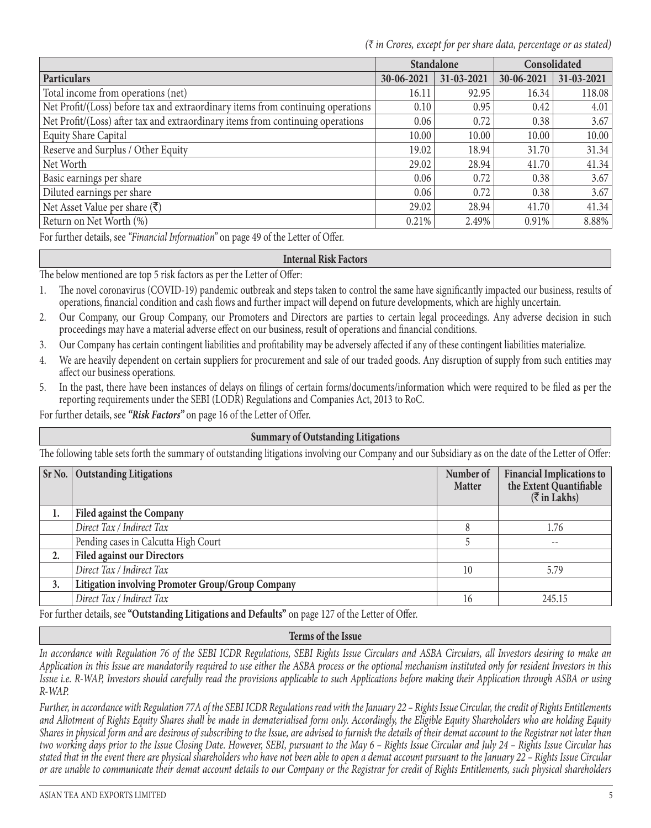*(₹ in Crores, except for per share data, percentage or as stated)*

|                                                                                 | <b>Standalone</b> |            | Consolidated |            |
|---------------------------------------------------------------------------------|-------------------|------------|--------------|------------|
| <b>Particulars</b>                                                              | 30-06-2021        | 31-03-2021 | 30-06-2021   | 31-03-2021 |
| Total income from operations (net)                                              | 16.11             | 92.95      | 16.34        | 118.08     |
| Net Profit/(Loss) before tax and extraordinary items from continuing operations | 0.10              | 0.95       | 0.42         | 4.01       |
| Net Profit/(Loss) after tax and extraordinary items from continuing operations  | 0.06              | 0.72       | 0.38         | 3.67       |
| <b>Equity Share Capital</b>                                                     | 10.00             | 10.00      | 10.00        | 10.00      |
| Reserve and Surplus / Other Equity                                              | 19.02             | 18.94      | 31.70        | 31.34      |
| Net Worth                                                                       | 29.02             | 28.94      | 41.70        | 41.34      |
| Basic earnings per share                                                        | 0.06              | 0.72       | 0.38         | 3.67       |
| Diluted earnings per share                                                      | 0.06              | 0.72       | 0.38         | 3.67       |
| Net Asset Value per share $(\overline{\mathbf{x}})$                             | 29.02             | 28.94      | 41.70        | 41.34      |
| Return on Net Worth (%)                                                         | 0.21%             | 2.49%      | 0.91%        | 8.88%      |

For further details, see *"Financial Information"* on page 49 of the Letter of Offer.

#### **Internal Risk Factors**

The below mentioned are top 5 risk factors as per the Letter of Offer:

- 1. The novel coronavirus (COVID-19) pandemic outbreak and steps taken to control the same have significantly impacted our business, results of operations, financial condition and cash flows and further impact will depend on future developments, which are highly uncertain.
- 2. Our Company, our Group Company, our Promoters and Directors are parties to certain legal proceedings. Any adverse decision in such proceedings may have a material adverse effect on our business, result of operations and financial conditions.
- 3. Our Company has certain contingent liabilities and profitability may be adversely affected if any of these contingent liabilities materialize.
- 4. We are heavily dependent on certain suppliers for procurement and sale of our traded goods. Any disruption of supply from such entities may affect our business operations.
- 5. In the past, there have been instances of delays on filings of certain forms/documents/information which were required to be filed as per the reporting requirements under the SEBI (LODR) Regulations and Companies Act, 2013 to RoC.

For further details, see *"Risk Factors"* on page 16 of the Letter of Offer.

#### **Summary of Outstanding Litigations**

The following table sets forth the summary of outstanding litigations involving our Company and our Subsidiary as on the date of the Letter of Offer:

|                  | Sr No.   Outstanding Litigations                  | Number of<br><b>Matter</b> | <b>Financial Implications to</b><br>the Extent Quantifiable<br>$(\overline{\zeta}$ in Lakhs) |
|------------------|---------------------------------------------------|----------------------------|----------------------------------------------------------------------------------------------|
| 1.               | <b>Filed against the Company</b>                  |                            |                                                                                              |
|                  | Direct Tax / Indirect Tax                         |                            | 1.76                                                                                         |
|                  | Pending cases in Calcutta High Court              |                            | $- -$                                                                                        |
| $\overline{2}$ . | <b>Filed against our Directors</b>                |                            |                                                                                              |
|                  | Direct Tax / Indirect Tax                         | 10                         | 5.79                                                                                         |
| 3.               | Litigation involving Promoter Group/Group Company |                            |                                                                                              |
|                  | Direct Tax / Indirect Tax                         | 16                         | 245.15                                                                                       |

For further details, see **"Outstanding Litigations and Defaults"** on page 127 of the Letter of Offer.

#### **Terms of the Issue**

*In accordance with Regulation 76 of the SEBI ICDR Regulations, SEBI Rights Issue Circulars and ASBA Circulars, all Investors desiring to make an Application in this Issue are mandatorily required to use either the ASBA process or the optional mechanism instituted only for resident Investors in this Issue i.e. R-WAP, Investors should carefully read the provisions applicable to such Applications before making their Application through ASBA or using R-WAP.*

*Further, in accordance with Regulation 77A of the SEBI ICDR Regulations read with the January 22 – Rights Issue Circular, the credit of Rights Entitlements and Allotment of Rights Equity Shares shall be made in dematerialised form only. Accordingly, the Eligible Equity Shareholders who are holding Equity Shares in physical form and are desirous of subscribing to the Issue, are advised to furnish the details of their demat account to the Registrar not later than two working days prior to the Issue Closing Date. However, SEBI, pursuant to the May 6 – Rights Issue Circular and July 24 – Rights Issue Circular has stated that in the event there are physical shareholders who have not been able to open a demat account pursuant to the January 22 – Rights Issue Circular or are unable to communicate their demat account details to our Company or the Registrar for credit of Rights Entitlements, such physical shareholders*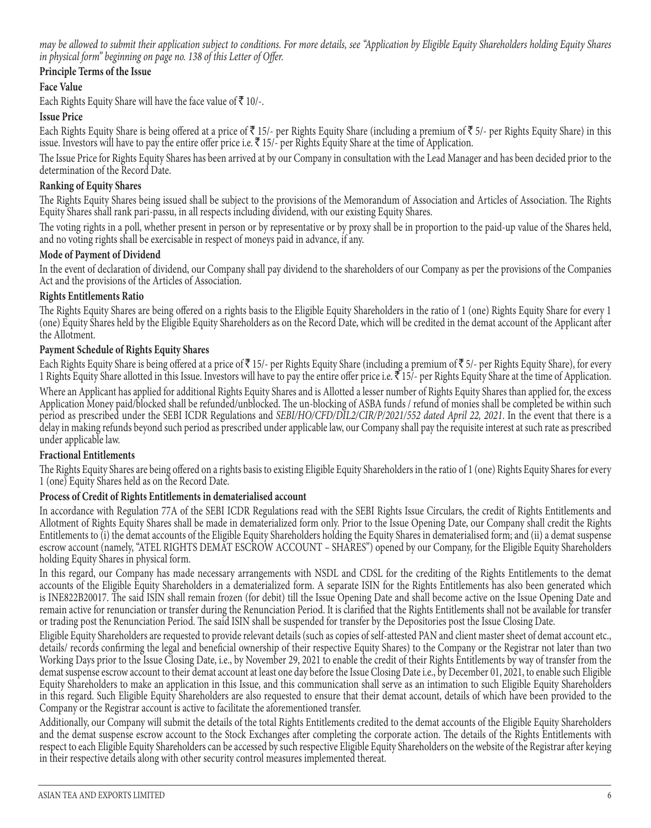*may be allowed to submit their application subject to conditions. For more details, see "Application by Eligible Equity Shareholders holding Equity Shares in physical form" beginning on page no. 138 of this Letter of Offer.*

# **Principle Terms of the Issue**

## **Face Value**

Each Rights Equity Share will have the face value of  $\bar{z}$  10/-.

## **Issue Price**

Each Rights Equity Share is being offered at a price of  $\bar{\tau}$  15/- per Rights Equity Share (including a premium of  $\bar{\tau}$  5/- per Rights Equity Share) in this issue. Investors will have to pay the entire offer price i.e.  $\bar{\xi}$  15/- per Rights Equity Share at the time of Application.

The Issue Price for Rights Equity Shares has been arrived at by our Company in consultation with the Lead Manager and has been decided prior to the determination of the Record Date.

## **Ranking of Equity Shares**

The Rights Equity Shares being issued shall be subject to the provisions of the Memorandum of Association and Articles of Association. The Rights Equity Shares shall rank pari-passu, in all respects including dividend, with our existing Equity Shares.

The voting rights in a poll, whether present in person or by representative or by proxy shall be in proportion to the paid-up value of the Shares held, and no voting rights shall be exercisable in respect of moneys paid in advance, if any.

## **Mode of Payment of Dividend**

In the event of declaration of dividend, our Company shall pay dividend to the shareholders of our Company as per the provisions of the Companies Act and the provisions of the Articles of Association.

## **Rights Entitlements Ratio**

The Rights Equity Shares are being offered on a rights basis to the Eligible Equity Shareholders in the ratio of 1 (one) Rights Equity Share for every 1 (one) Equity Shares held by the Eligible Equity Shareholders as on the Record Date, which will be credited in the demat account of the Applicant after the Allotment.

## **Payment Schedule of Rights Equity Shares**

Each Rights Equity Share is being offered at a price of  $\bar{\tau}$  15/- per Rights Equity Share (including a premium of  $\bar{\tau}$  5/- per Rights Equity Share), for every 1 Rights Equity Share allotted in this Issue. Investors will have to pay the entire offer price i.e.  $\bar{\mathfrak{F}}$  15/- per Rights Equity Share at the time of Application. Where an Applicant has applied for additional Rights Equity Shares and is Allotted a lesser number of Rights Equity Shares than applied for, the excess Application Money paid/blocked shall be refunded/unblocked. The un-blocking of ASBA funds / refund of monies shall be completed be within such period as prescribed under the SEBI ICDR Regulations and *SEBI/HO/CFD/DIL2/CIR/P/2021/552 dated April 22, 2021*. In the event that there is a delay in making refunds beyond such period as prescribed under applicable law, our Company shall pay the requisite interest at such rate as prescribed under applicable law.

## **Fractional Entitlements**

The Rights Equity Shares are being offered on a rights basis to existing Eligible Equity Shareholders in the ratio of 1 (one) Rights Equity Shares for every 1 (one) Equity Shares held as on the Record Date.

## **Process of Credit of Rights Entitlements in dematerialised account**

In accordance with Regulation 77A of the SEBI ICDR Regulations read with the SEBI Rights Issue Circulars, the credit of Rights Entitlements and Allotment of Rights Equity Shares shall be made in dematerialized form only. Prior to the Issue Opening Date, our Company shall credit the Rights Entitlements to (i) the demat accounts of the Eligible Equity Shareholders holding the Equity Shares in dematerialised form; and (ii) a demat suspense escrow account (namely, "ATEL RIGHTS DEMAT ESCROW ACCOUNT – SHARES") opened by our Company, for the Eligible Equity Shareholders holding Equity Shares in physical form.

In this regard, our Company has made necessary arrangements with NSDL and CDSL for the crediting of the Rights Entitlements to the demat accounts of the Eligible Equity Shareholders in a dematerialized form. A separate ISIN for the Rights Entitlements has also been generated which is INE822B20017. The said ISIN shall remain frozen (for debit) till the Issue Opening Date and shall become active on the Issue Opening Date and remain active for renunciation or transfer during the Renunciation Period. It is clarified that the Rights Entitlements shall not be available for transfer or trading post the Renunciation Period. The said ISIN shall be suspended for transfer by the Depositories post the Issue Closing Date.

Eligible Equity Shareholders are requested to provide relevant details (such as copies of self-attested PAN and client master sheet of demat account etc., details/ records confirming the legal and beneficial ownership of their respective Equity Shares) to the Company or the Registrar not later than two Working Days prior to the Issue Closing Date, i.e., by November 29, 2021 to enable the credit of their Rights Entitlements by way of transfer from the demat suspense escrow account to their demat account at least one day before the Issue Closing Date i.e., by December 01, 2021, to enable such Eligible Equity Shareholders to make an application in this Issue, and this communication shall serve as an intimation to such Eligible Equity Shareholders in this regard. Such Eligible Equity Shareholders are also requested to ensure that their demat account, details of which have been provided to the Company or the Registrar account is active to facilitate the aforementioned transfer.

Additionally, our Company will submit the details of the total Rights Entitlements credited to the demat accounts of the Eligible Equity Shareholders and the demat suspense escrow account to the Stock Exchanges after completing the corporate action. The details of the Rights Entitlements with respect to each Eligible Equity Shareholders can be accessed by such respective Eligible Equity Shareholders on the website of the Registrar after keying in their respective details along with other security control measures implemented thereat.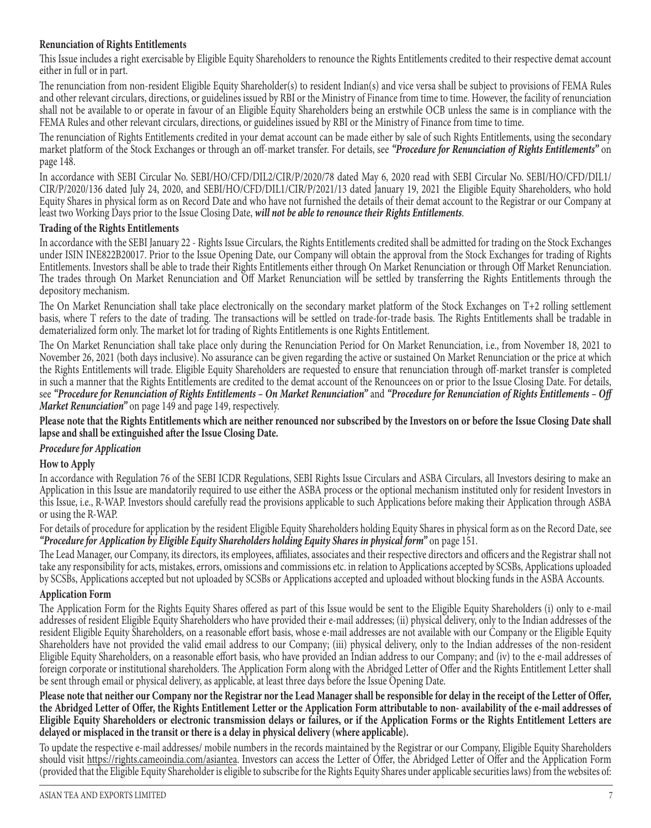## **Renunciation of Rights Entitlements**

This Issue includes a right exercisable by Eligible Equity Shareholders to renounce the Rights Entitlements credited to their respective demat account either in full or in part.

The renunciation from non-resident Eligible Equity Shareholder(s) to resident Indian(s) and vice versa shall be subject to provisions of FEMA Rules and other relevant circulars, directions, or guidelines issued by RBI or the Ministry of Finance from time to time. However, the facility of renunciation shall not be available to or operate in favour of an Eligible Equity Shareholders being an erstwhile OCB unless the same is in compliance with the FEMA Rules and other relevant circulars, directions, or guidelines issued by RBI or the Ministry of Finance from time to time.

The renunciation of Rights Entitlements credited in your demat account can be made either by sale of such Rights Entitlements, using the secondary market platform of the Stock Exchanges or through an off-market transfer. For details, see *"Procedure for Renunciation of Rights Entitlements"* on page 148.

In accordance with SEBI Circular No. SEBI/HO/CFD/DIL2/CIR/P/2020/78 dated May 6, 2020 read with SEBI Circular No. SEBI/HO/CFD/DIL1/ CIR/P/2020/136 dated July 24, 2020, and SEBI/HO/CFD/DIL1/CIR/P/2021/13 dated January 19, 2021 the Eligible Equity Shareholders, who hold Equity Shares in physical form as on Record Date and who have not furnished the details of their demat account to the Registrar or our Company at least two Working Days prior to the Issue Closing Date, *will not be able to renounce their Rights Entitlements*.

## **Trading of the Rights Entitlements**

In accordance with the SEBI January 22 - Rights Issue Circulars, the Rights Entitlements credited shall be admitted for trading on the Stock Exchanges under ISIN INE822B20017. Prior to the Issue Opening Date, our Company will obtain the approval from the Stock Exchanges for trading of Rights Entitlements. Investors shall be able to trade their Rights Entitlements either through On Market Renunciation or through Off Market Renunciation. The trades through On Market Renunciation and Off Market Renunciation will be settled by transferring the Rights Entitlements through the depository mechanism.

The On Market Renunciation shall take place electronically on the secondary market platform of the Stock Exchanges on T+2 rolling settlement basis, where T refers to the date of trading. The transactions will be settled on trade-for-trade basis. The Rights Entitlements shall be tradable in dematerialized form only. The market lot for trading of Rights Entitlements is one Rights Entitlement.

The On Market Renunciation shall take place only during the Renunciation Period for On Market Renunciation, i.e., from November 18, 2021 to November 26, 2021 (both days inclusive). No assurance can be given regarding the active or sustained On Market Renunciation or the price at which the Rights Entitlements will trade. Eligible Equity Shareholders are requested to ensure that renunciation through off-market transfer is completed in such a manner that the Rights Entitlements are credited to the demat account of the Renouncees on or prior to the Issue Closing Date. For details, see *"Procedure for Renunciation of Rights Entitlements – On Market Renunciation"* and *"Procedure for Renunciation of Rights Entitlements – Off Market Renunciation"* on page 149 and page 149, respectively.

**Please note that the Rights Entitlements which are neither renounced nor subscribed by the Investors on or before the Issue Closing Date shall lapse and shall be extinguished after the Issue Closing Date.**

## *Procedure for Application*

## **How to Apply**

In accordance with Regulation 76 of the SEBI ICDR Regulations, SEBI Rights Issue Circulars and ASBA Circulars, all Investors desiring to make an Application in this Issue are mandatorily required to use either the ASBA process or the optional mechanism instituted only for resident Investors in this Issue, i.e., R-WAP. Investors should carefully read the provisions applicable to such Applications before making their Application through ASBA or using the R-WAP.

For details of procedure for application by the resident Eligible Equity Shareholders holding Equity Shares in physical form as on the Record Date, see *"Procedure for Application by Eligible Equity Shareholders holding Equity Shares in physical form"* on page 151.

The Lead Manager, our Company, its directors, its employees, affiliates, associates and their respective directors and officers and the Registrar shall not take any responsibility for acts, mistakes, errors, omissions and commissions etc. in relation to Applications accepted by SCSBs, Applications uploaded by SCSBs, Applications accepted but not uploaded by SCSBs or Applications accepted and uploaded without blocking funds in the ASBA Accounts.

## **Application Form**

The Application Form for the Rights Equity Shares offered as part of this Issue would be sent to the Eligible Equity Shareholders (i) only to e-mail addresses of resident Eligible Equity Shareholders who have provided their e-mail addresses; (ii) physical delivery, only to the Indian addresses of the resident Eligible Equity Shareholders, on a reasonable effort basis, whose e-mail addresses are not available with our Company or the Eligible Equity Shareholders have not provided the valid email address to our Company; (iii) physical delivery, only to the Indian addresses of the non-resident Eligible Equity Shareholders, on a reasonable effort basis, who have provided an Indian address to our Company; and (iv) to the e-mail addresses of foreign corporate or institutional shareholders. The Application Form along with the Abridged Letter of Offer and the Rights Entitlement Letter shall be sent through email or physical delivery, as applicable, at least three days before the Issue Opening Date.

**Please note that neither our Company nor the Registrar nor the Lead Manager shall be responsible for delay in the receipt of the Letter of Offer, the Abridged Letter of Offer, the Rights Entitlement Letter or the Application Form attributable to non- availability of the e-mail addresses of Eligible Equity Shareholders or electronic transmission delays or failures, or if the Application Forms or the Rights Entitlement Letters are delayed or misplaced in the transit or there is a delay in physical delivery (where applicable).**

To update the respective e-mail addresses/ mobile numbers in the records maintained by the Registrar or our Company, Eligible Equity Shareholders should visit https://rights.cameoindia.com/asiantea. Investors can access the Letter of Offer, the Abridged Letter of Offer and the Application Form (provided that the Eligible Equity Shareholder is eligible to subscribe for the Rights Equity Shares under applicable securities laws) from the websites of: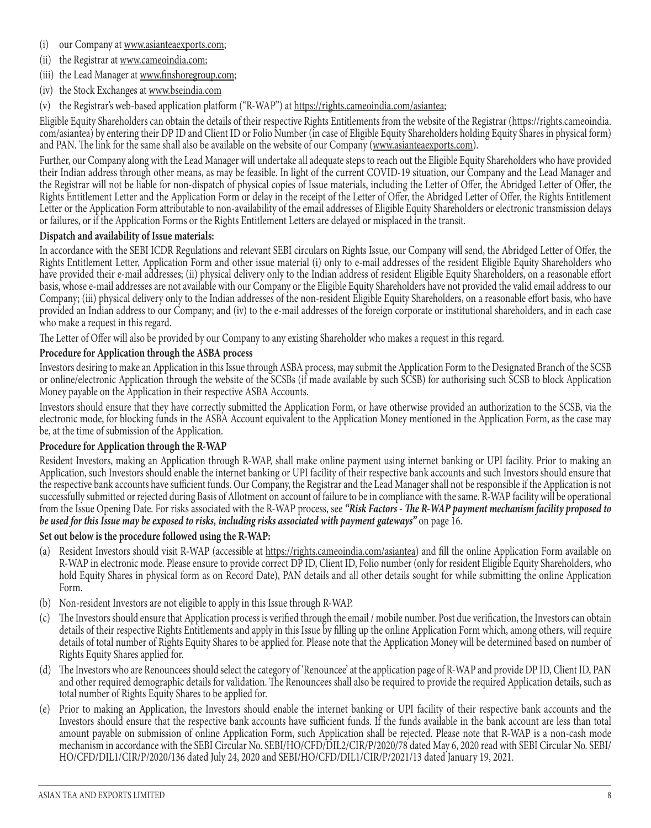- (i) our Company at www.asianteaexports.com;
- (ii) the Registrar at www.cameoindia.com;
- (iii) the Lead Manager at www.finshoregroup.com;
- (iv) the Stock Exchanges at www.bseindia.com
- (v) the Registrar's web-based application platform ("R-WAP") at https://rights.cameoindia.com/asiantea;

Eligible Equity Shareholders can obtain the details of their respective Rights Entitlements from the website of the Registrar (https://rights.cameoindia. com/asiantea) by entering their DP ID and Client ID or Folio Number (in case of Eligible Equity Shareholders holding Equity Shares in physical form) and PAN. The link for the same shall also be available on the website of our Company (www.asianteaexports.com).

Further, our Company along with the Lead Manager will undertake all adequate steps to reach out the Eligible Equity Shareholders who have provided their Indian address through other means, as may be feasible. In light of the current COVID-19 situation, our Company and the Lead Manager and the Registrar will not be liable for non-dispatch of physical copies of Issue materials, including the Letter of Offer, the Abridged Letter of Offer, the Rights Entitlement Letter and the Application Form or delay in the receipt of the Letter of Offer, the Abridged Letter of Offer, the Rights Entitlement Letter or the Application Form attributable to non-availability of the email addresses of Eligible Equity Shareholders or electronic transmission delays or failures, or if the Application Forms or the Rights Entitlement Letters are delayed or misplaced in the transit.

## **Dispatch and availability of Issue materials:**

In accordance with the SEBI ICDR Regulations and relevant SEBI circulars on Rights Issue, our Company will send, the Abridged Letter of Offer, the Rights Entitlement Letter, Application Form and other issue material (i) only to e-mail addresses of the resident Eligible Equity Shareholders who have provided their e-mail addresses; (ii) physical delivery only to the Indian address of resident Eligible Equity Shareholders, on a reasonable effort basis, whose e-mail addresses are not available with our Company or the Eligible Equity Shareholders have not provided the valid email address to our Company; (iii) physical delivery only to the Indian addresses of the non-resident Eligible Equity Shareholders, on a reasonable effort basis, who have provided an Indian address to our Company; and (iv) to the e-mail addresses of the foreign corporate or institutional shareholders, and in each case who make a request in this regard.

The Letter of Offer will also be provided by our Company to any existing Shareholder who makes a request in this regard.

## **Procedure for Application through the ASBA process**

Investors desiring to make an Application in this Issue through ASBA process, may submit the Application Form to the Designated Branch of the SCSB or online/electronic Application through the website of the SCSBs (if made available by such SCSB) for authorising such SCSB to block Application Money payable on the Application in their respective ASBA Accounts.

Investors should ensure that they have correctly submitted the Application Form, or have otherwise provided an authorization to the SCSB, via the electronic mode, for blocking funds in the ASBA Account equivalent to the Application Money mentioned in the Application Form, as the case may be, at the time of submission of the Application.

#### **Procedure for Application through the R-WAP**

Resident Investors, making an Application through R-WAP, shall make online payment using internet banking or UPI facility. Prior to making an Application, such Investors should enable the internet banking or UPI facility of their respective bank accounts and such Investors should ensure that the respective bank accounts have sufficient funds. Our Company, the Registrar and the Lead Manager shall not be responsible if the Application is not successfully submitted or rejected during Basis of Allotment on account of failure to be in compliance with the same. R-WAP facility will be operational from the Issue Opening Date. For risks associated with the R-WAP process, see *"Risk Factors - The R-WAP payment mechanism facility proposed to be used for this Issue may be exposed to risks, including risks associated with payment gateways"* on page 16.

## **Set out below is the procedure followed using the R-WAP:**

- (a) Resident Investors should visit R-WAP (accessible at https://rights.cameoindia.com/asiantea) and fill the online Application Form available on R-WAP in electronic mode. Please ensure to provide correct DP ID, Client ID, Folio number (only for resident Eligible Equity Shareholders, who hold Equity Shares in physical form as on Record Date), PAN details and all other details sought for while submitting the online Application Form.
- (b) Non-resident Investors are not eligible to apply in this Issue through R-WAP.
- (c) The Investors should ensure that Application process is verified through the email / mobile number. Post due verification, the Investors can obtain details of their respective Rights Entitlements and apply in this Issue by filling up the online Application Form which, among others, will require details of total number of Rights Equity Shares to be applied for. Please note that the Application Money will be determined based on number of Rights Equity Shares applied for.
- (d) The Investors who are Renouncees should select the category of 'Renouncee' at the application page of R-WAP and provide DP ID, Client ID, PAN and other required demographic details for validation. The Renouncees shall also be required to provide the required Application details, such as total number of Rights Equity Shares to be applied for.
- (e) Prior to making an Application, the Investors should enable the internet banking or UPI facility of their respective bank accounts and the Investors should ensure that the respective bank accounts have sufficient funds. If the funds available in the bank account are less than total amount payable on submission of online Application Form, such Application shall be rejected. Please note that R-WAP is a non-cash mode mechanism in accordance with the SEBI Circular No. SEBI/HO/CFD/DIL2/CIR/P/2020/78 dated May 6, 2020 read with SEBI Circular No. SEBI/ HO/CFD/DIL1/CIR/P/2020/136 dated July 24, 2020 and SEBI/HO/CFD/DIL1/CIR/P/2021/13 dated January 19, 2021.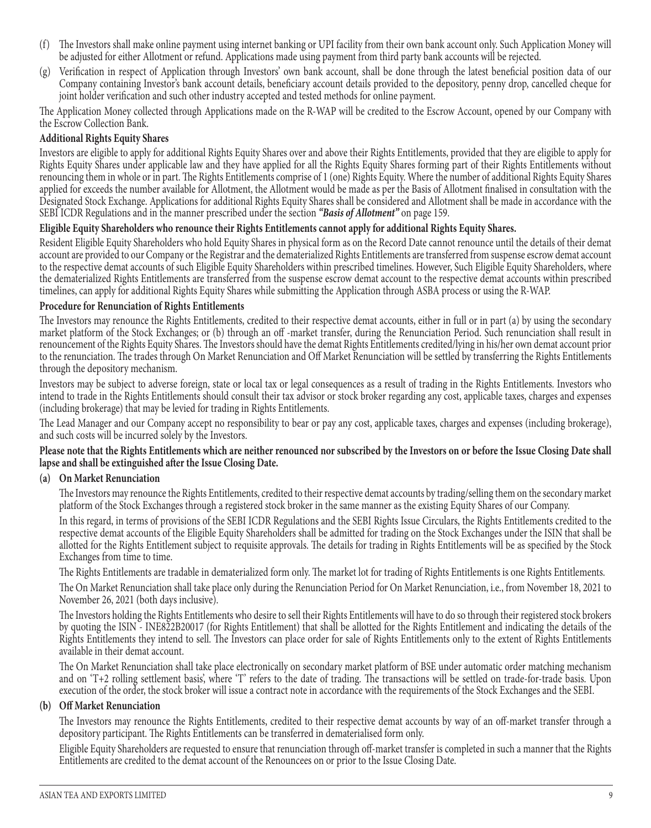- (f) The Investors shall make online payment using internet banking or UPI facility from their own bank account only. Such Application Money will be adjusted for either Allotment or refund. Applications made using payment from third party bank accounts will be rejected.
- (g) Verification in respect of Application through Investors' own bank account, shall be done through the latest beneficial position data of our Company containing Investor's bank account details, beneficiary account details provided to the depository, penny drop, cancelled cheque for joint holder verification and such other industry accepted and tested methods for online payment.

The Application Money collected through Applications made on the R-WAP will be credited to the Escrow Account, opened by our Company with the Escrow Collection Bank.

## **Additional Rights Equity Shares**

Investors are eligible to apply for additional Rights Equity Shares over and above their Rights Entitlements, provided that they are eligible to apply for Rights Equity Shares under applicable law and they have applied for all the Rights Equity Shares forming part of their Rights Entitlements without renouncing them in whole or in part. The Rights Entitlements comprise of 1 (one) Rights Equity. Where the number of additional Rights Equity Shares applied for exceeds the number available for Allotment, the Allotment would be made as per the Basis of Allotment finalised in consultation with the Designated Stock Exchange. Applications for additional Rights Equity Shares shall be considered and Allotment shall be made in accordance with the SEBI ICDR Regulations and in the manner prescribed under the section *"Basis of Allotment"* on page 159.

## **Eligible Equity Shareholders who renounce their Rights Entitlements cannot apply for additional Rights Equity Shares.**

Resident Eligible Equity Shareholders who hold Equity Shares in physical form as on the Record Date cannot renounce until the details of their demat account are provided to our Company or the Registrar and the dematerialized Rights Entitlements are transferred from suspense escrow demat account to the respective demat accounts of such Eligible Equity Shareholders within prescribed timelines. However, Such Eligible Equity Shareholders, where the dematerialized Rights Entitlements are transferred from the suspense escrow demat account to the respective demat accounts within prescribed timelines, can apply for additional Rights Equity Shares while submitting the Application through ASBA process or using the R-WAP.

#### **Procedure for Renunciation of Rights Entitlements**

The Investors may renounce the Rights Entitlements, credited to their respective demat accounts, either in full or in part (a) by using the secondary market platform of the Stock Exchanges; or (b) through an off -market transfer, during the Renunciation Period. Such renunciation shall result in renouncement of the Rights Equity Shares. The Investors should have the demat Rights Entitlements credited/lying in his/her own demat account prior to the renunciation. The trades through On Market Renunciation and Off Market Renunciation will be settled by transferring the Rights Entitlements through the depository mechanism.

Investors may be subject to adverse foreign, state or local tax or legal consequences as a result of trading in the Rights Entitlements. Investors who intend to trade in the Rights Entitlements should consult their tax advisor or stock broker regarding any cost, applicable taxes, charges and expenses (including brokerage) that may be levied for trading in Rights Entitlements.

The Lead Manager and our Company accept no responsibility to bear or pay any cost, applicable taxes, charges and expenses (including brokerage), and such costs will be incurred solely by the Investors.

#### **Please note that the Rights Entitlements which are neither renounced nor subscribed by the Investors on or before the Issue Closing Date shall lapse and shall be extinguished after the Issue Closing Date.**

#### **(a) On Market Renunciation**

The Investors may renounce the Rights Entitlements, credited to their respective demat accounts by trading/selling them on the secondary market platform of the Stock Exchanges through a registered stock broker in the same manner as the existing Equity Shares of our Company.

In this regard, in terms of provisions of the SEBI ICDR Regulations and the SEBI Rights Issue Circulars, the Rights Entitlements credited to the respective demat accounts of the Eligible Equity Shareholders shall be admitted for trading on the Stock Exchanges under the ISIN that shall be allotted for the Rights Entitlement subject to requisite approvals. The details for trading in Rights Entitlements will be as specified by the Stock Exchanges from time to time.

The Rights Entitlements are tradable in dematerialized form only. The market lot for trading of Rights Entitlements is one Rights Entitlements.

The On Market Renunciation shall take place only during the Renunciation Period for On Market Renunciation, i.e., from November 18, 2021 to November 26, 2021 (both days inclusive).

The Investors holding the Rights Entitlements who desire to sell their Rights Entitlements will have to do so through their registered stock brokers by quoting the ISIN - INE822B20017 (for Rights Entitlement) that shall be allotted for the Rights Entitlement and indicating the details of the Rights Entitlements they intend to sell. The Investors can place order for sale of Rights Entitlements only to the extent of Rights Entitlements available in their demat account.

The On Market Renunciation shall take place electronically on secondary market platform of BSE under automatic order matching mechanism and on 'T+2 rolling settlement basis', where 'T' refers to the date of trading. The transactions will be settled on trade-for-trade basis. Upon execution of the order, the stock broker will issue a contract note in accordance with the requirements of the Stock Exchanges and the SEBI.

#### **(b) Off Market Renunciation**

The Investors may renounce the Rights Entitlements, credited to their respective demat accounts by way of an off-market transfer through a depository participant. The Rights Entitlements can be transferred in dematerialised form only.

Eligible Equity Shareholders are requested to ensure that renunciation through off-market transfer is completed in such a manner that the Rights Entitlements are credited to the demat account of the Renouncees on or prior to the Issue Closing Date.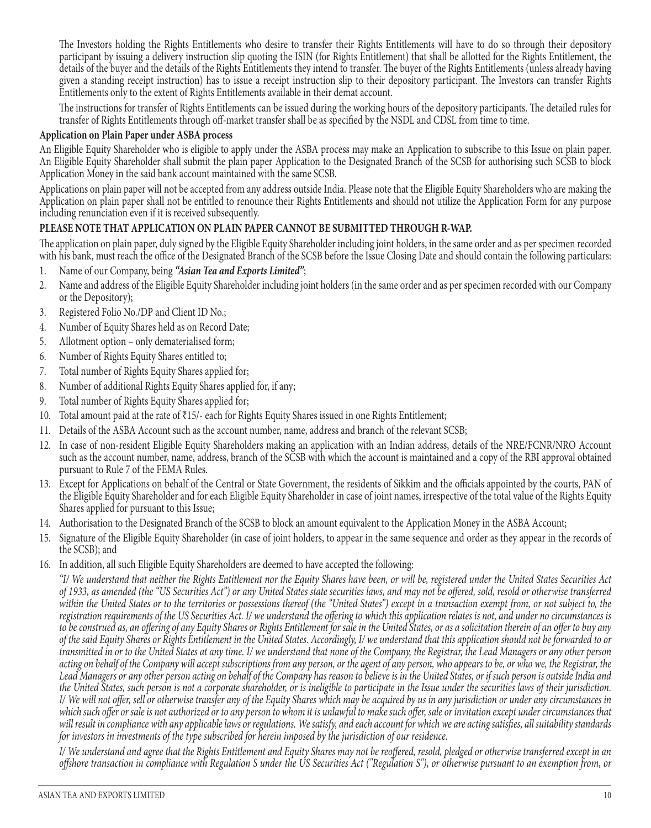The Investors holding the Rights Entitlements who desire to transfer their Rights Entitlements will have to do so through their depository participant by issuing a delivery instruction slip quoting the ISIN (for Rights Entitlement) that shall be allotted for the Rights Entitlement, the details of the buyer and the details of the Rights Entitlements they intend to transfer. The buyer of the Rights Entitlements (unless already having given a standing receipt instruction) has to issue a receipt instruction slip to their depository participant. The Investors can transfer Rights Entitlements only to the extent of Rights Entitlements available in their demat account.

The instructions for transfer of Rights Entitlements can be issued during the working hours of the depository participants. The detailed rules for transfer of Rights Entitlements through off-market transfer shall be as specified by the NSDL and CDSL from time to time.

## **Application on Plain Paper under ASBA process**

An Eligible Equity Shareholder who is eligible to apply under the ASBA process may make an Application to subscribe to this Issue on plain paper. An Eligible Equity Shareholder shall submit the plain paper Application to the Designated Branch of the SCSB for authorising such SCSB to block Application Money in the said bank account maintained with the same SCSB.

Applications on plain paper will not be accepted from any address outside India. Please note that the Eligible Equity Shareholders who are making the Application on plain paper shall not be entitled to renounce their Rights Entitlements and should not utilize the Application Form for any purpose including renunciation even if it is received subsequently.

#### **PLEASE NOTE THAT APPLICATION ON PLAIN PAPER CANNOT BE SUBMITTED THROUGH R-WAP.**

The application on plain paper, duly signed by the Eligible Equity Shareholder including joint holders, in the same order and as per specimen recorded with his bank, must reach the office of the Designated Branch of the SCSB before the Issue Closing Date and should contain the following particulars:

- 1. Name of our Company, being *"Asian Tea and Exports Limited"*;
- 2. Name and address of the Eligible Equity Shareholder including joint holders (in the same order and as per specimen recorded with our Company or the Depository);
- 3. Registered Folio No./DP and Client ID No.;
- 4. Number of Equity Shares held as on Record Date;
- 5. Allotment option only dematerialised form;
- 6. Number of Rights Equity Shares entitled to;
- 7. Total number of Rights Equity Shares applied for;
- 8. Number of additional Rights Equity Shares applied for, if any;
- 9. Total number of Rights Equity Shares applied for;
- 10. Total amount paid at the rate of ₹15/- each for Rights Equity Shares issued in one Rights Entitlement;
- 11. Details of the ASBA Account such as the account number, name, address and branch of the relevant SCSB;
- 12. In case of non-resident Eligible Equity Shareholders making an application with an Indian address, details of the NRE/FCNR/NRO Account such as the account number, name, address, branch of the SCSB with which the account is maintained and a copy of the RBI approval obtained pursuant to Rule 7 of the FEMA Rules.
- 13. Except for Applications on behalf of the Central or State Government, the residents of Sikkim and the officials appointed by the courts, PAN of the Eligible Equity Shareholder and for each Eligible Equity Shareholder in case of joint names, irrespective of the total value of the Rights Equity Shares applied for pursuant to this Issue;
- 14. Authorisation to the Designated Branch of the SCSB to block an amount equivalent to the Application Money in the ASBA Account;
- 15. Signature of the Eligible Equity Shareholder (in case of joint holders, to appear in the same sequence and order as they appear in the records of the SCSB); and
- 16. In addition, all such Eligible Equity Shareholders are deemed to have accepted the following:

*"I/ We understand that neither the Rights Entitlement nor the Equity Shares have been, or will be, registered under the United States Securities Act of 1933, as amended (the "US Securities Act") or any United States state securities laws, and may not be offered, sold, resold or otherwise transferred within the United States or to the territories or possessions thereof (the "United States") except in a transaction exempt from, or not subject to, the*  registration requirements of the US Securities Act. I/ we understand the offering to which this application relates is not, and under no circumstances is *to be construed as, an offering of any Equity Shares or Rights Entitlement for sale in the United States, or as a solicitation therein of an offer to buy any of the said Equity Shares or Rights Entitlement in the United States. Accordingly, I/ we understand that this application should not be forwarded to or transmitted in or to the United States at any time. I/ we understand that none of the Company, the Registrar, the Lead Managers or any other person acting on behalf of the Company will accept subscriptions from any person, or the agent of any person, who appears to be, or who we, the Registrar, the Lead Managers or any other person acting on behalf of the Company has reason to believe is in the United States, or if such person is outside India and the United States, such person is not a corporate shareholder, or is ineligible to participate in the Issue under the securities laws of their jurisdiction. I/ We will not offer, sell or otherwise transfer any of the Equity Shares which may be acquired by us in any jurisdiction or under any circumstances in which such offer or sale is not authorized or to any person to whom it is unlawful to make such offer, sale or invitation except under circumstances that will result in compliance with any applicable laws or regulations. We satisfy, and each account for which we are acting satisfies, all suitability standards for investors in investments of the type subscribed for herein imposed by the jurisdiction of our residence.*

*I/* We understand and agree that the Rights Entitlement and Equity Shares may not be reoffered, resold, pledged or otherwise transferred except in an *offshore transaction in compliance with Regulation S under the US Securities Act ("Regulation S"), or otherwise pursuant to an exemption from, or*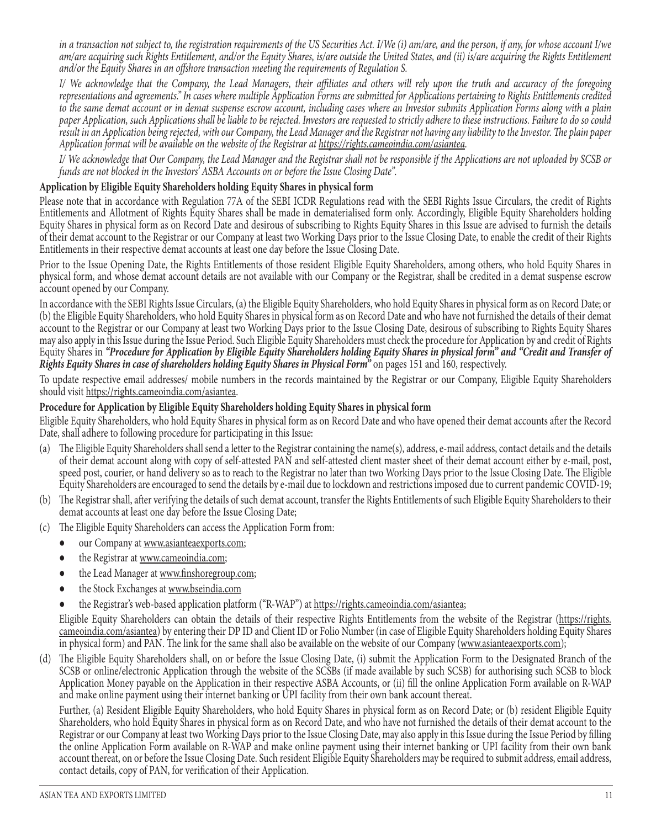*in a transaction not subject to, the registration requirements of the US Securities Act. I/We (i) am/are, and the person, if any, for whose account I/we am/are acquiring such Rights Entitlement, and/or the Equity Shares, is/are outside the United States, and (ii) is/are acquiring the Rights Entitlement and/or the Equity Shares in an offshore transaction meeting the requirements of Regulation S.*

*I/ We acknowledge that the Company, the Lead Managers, their affiliates and others will rely upon the truth and accuracy of the foregoing representations and agreements." In cases where multiple Application Forms are submitted for Applications pertaining to Rights Entitlements credited to the same demat account or in demat suspense escrow account, including cases where an Investor submits Application Forms along with a plain paper Application, such Applications shall be liable to be rejected. Investors are requested to strictly adhere to these instructions. Failure to do so could result in an Application being rejected, with our Company, the Lead Manager and the Registrar not having any liability to the Investor. The plain paper Application format will be available on the website of the Registrar at https://rights.cameoindia.com/asiantea.*

*I/ We acknowledge that Our Company, the Lead Manager and the Registrar shall not be responsible if the Applications are not uploaded by SCSB or funds are not blocked in the Investors' ASBA Accounts on or before the Issue Closing Date".*

## **Application by Eligible Equity Shareholders holding Equity Shares in physical form**

Please note that in accordance with Regulation 77A of the SEBI ICDR Regulations read with the SEBI Rights Issue Circulars, the credit of Rights Entitlements and Allotment of Rights Equity Shares shall be made in dematerialised form only. Accordingly, Eligible Equity Shareholders holding Equity Shares in physical form as on Record Date and desirous of subscribing to Rights Equity Shares in this Issue are advised to furnish the details of their demat account to the Registrar or our Company at least two Working Days prior to the Issue Closing Date, to enable the credit of their Rights Entitlements in their respective demat accounts at least one day before the Issue Closing Date.

Prior to the Issue Opening Date, the Rights Entitlements of those resident Eligible Equity Shareholders, among others, who hold Equity Shares in physical form, and whose demat account details are not available with our Company or the Registrar, shall be credited in a demat suspense escrow account opened by our Company.

In accordance with the SEBI Rights Issue Circulars, (a) the Eligible Equity Shareholders, who hold Equity Shares in physical form as on Record Date; or (b) the Eligible Equity Shareholders, who hold Equity Shares in physical form as on Record Date and who have not furnished the details of their demat account to the Registrar or our Company at least two Working Days prior to the Issue Closing Date, desirous of subscribing to Rights Equity Shares may also apply in this Issue during the Issue Period. Such Eligible Equity Shareholders must check the procedure for Application by and credit of Rights Equity Shares in *"Procedure for Application by Eligible Equity Shareholders holding Equity Shares in physical form" and "Credit and Transfer of Rights Equity Shares in case of shareholders holding Equity Shares in Physical Form"* on pages 151 and 160, respectively.

To update respective email addresses/ mobile numbers in the records maintained by the Registrar or our Company, Eligible Equity Shareholders should visit https://rights.cameoindia.com/asiantea.

## **Procedure for Application by Eligible Equity Shareholders holding Equity Shares in physical form**

Eligible Equity Shareholders, who hold Equity Shares in physical form as on Record Date and who have opened their demat accounts after the Record Date, shall adhere to following procedure for participating in this Issue:

- (a) The Eligible Equity Shareholders shall send a letter to the Registrar containing the name(s), address, e-mail address, contact details and the details of their demat account along with copy of self-attested PAN and self-attested client master sheet of their demat account either by e-mail, post, speed post, courier, or hand delivery so as to reach to the Registrar no later than two Working Days prior to the Issue Closing Date. The Eligible Equity Shareholders are encouraged to send the details by e-mail due to lockdown and restrictions imposed due to current pandemic COVID-19;
- (b) The Registrar shall, after verifying the details of such demat account, transfer the Rights Entitlements of such Eligible Equity Shareholders to their demat accounts at least one day before the Issue Closing Date;
- (c) The Eligible Equity Shareholders can access the Application Form from:
	- our Company at www.asianteaexports.com;
	- the Registrar at www.cameoindia.com;
	- the Lead Manager at www.finshoregroup.com;
	- the Stock Exchanges at www.bseindia.com
	- the Registrar's web-based application platform ("R-WAP") at https://rights.cameoindia.com/asiantea;

Eligible Equity Shareholders can obtain the details of their respective Rights Entitlements from the website of the Registrar (https://rights. cameoindia.com/asiantea) by entering their DP ID and Client ID or Folio Number (in case of Eligible Equity Shareholders holding Equity Shares in physical form) and PAN. The link for the same shall also be available on the website of our Company (www.asianteaexports.com);

(d) The Eligible Equity Shareholders shall, on or before the Issue Closing Date, (i) submit the Application Form to the Designated Branch of the SCSB or online/electronic Application through the website of the SCSBs (if made available by such SCSB) for authorising such SCSB to block Application Money payable on the Application in their respective ASBA Accounts, or (ii) fill the online Application Form available on R-WAP and make online payment using their internet banking or UPI facility from their own bank account thereat.

Further, (a) Resident Eligible Equity Shareholders, who hold Equity Shares in physical form as on Record Date; or (b) resident Eligible Equity Shareholders, who hold Equity Shares in physical form as on Record Date, and who have not furnished the details of their demat account to the Registrar or our Company at least two Working Days prior to the Issue Closing Date, may also apply in this Issue during the Issue Period by filling the online Application Form available on R-WAP and make online payment using their internet banking or UPI facility from their own bank account thereat, on or before the Issue Closing Date. Such resident Eligible Equity Shareholders may be required to submit address, email address, contact details, copy of PAN, for verification of their Application.